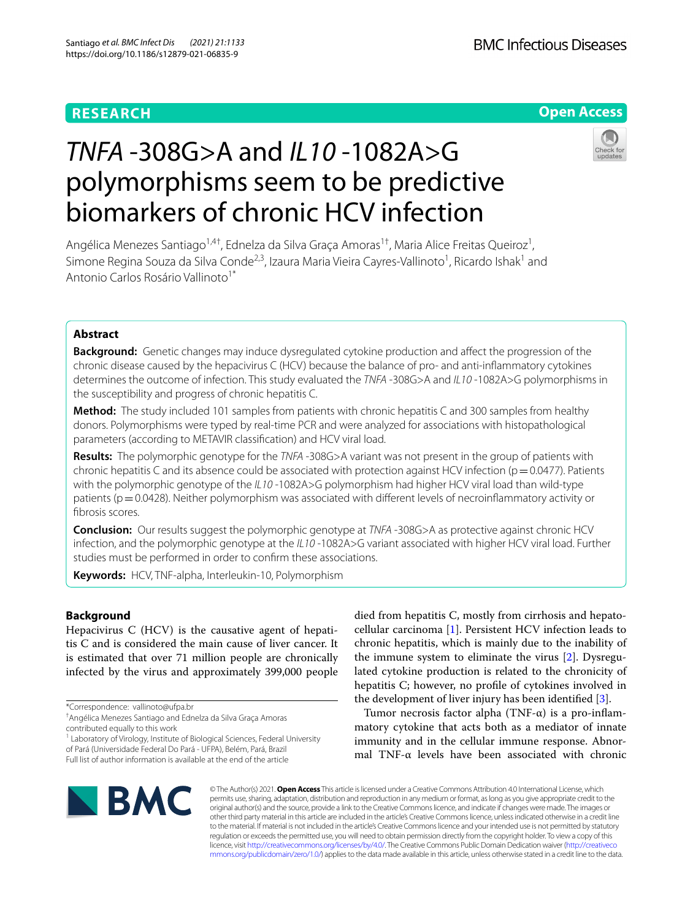# **RESEARCH**

# **Open Access**

# *TNFA* -308G>A and *IL10* -1082A>G polymorphisms seem to be predictive biomarkers of chronic HCV infection



Angélica Menezes Santiago<sup>1,4†</sup>, Ednelza da Silva Graça Amoras<sup>1†</sup>, Maria Alice Freitas Queiroz<sup>1</sup>, Simone Regina Souza da Silva Conde<sup>2,3</sup>, Izaura Maria Vieira Cayres-Vallinoto<sup>1</sup>, Ricardo Ishak<sup>1</sup> and Antonio Carlos Rosário Vallinoto<sup>1\*</sup>

# **Abstract**

**Background:** Genetic changes may induce dysregulated cytokine production and afect the progression of the chronic disease caused by the hepacivirus C (HCV) because the balance of pro- and anti-infammatory cytokines determines the outcome of infection. This study evaluated the *TNFA* -308G>A and *IL10* -1082A>G polymorphisms in the susceptibility and progress of chronic hepatitis C.

**Method:** The study included 101 samples from patients with chronic hepatitis C and 300 samples from healthy donors. Polymorphisms were typed by real-time PCR and were analyzed for associations with histopathological parameters (according to METAVIR classifcation) and HCV viral load.

**Results:** The polymorphic genotype for the *TNFA* -308G>A variant was not present in the group of patients with chronic hepatitis C and its absence could be associated with protection against HCV infection ( $p=0.0477$ ). Patients with the polymorphic genotype of the *IL10* -1082A>G polymorphism had higher HCV viral load than wild-type patients (p=0.0428). Neither polymorphism was associated with different levels of necroinflammatory activity or fbrosis scores.

**Conclusion:** Our results suggest the polymorphic genotype at *TNFA* -308G>A as protective against chronic HCV infection, and the polymorphic genotype at the *IL10* -1082A>G variant associated with higher HCV viral load. Further studies must be performed in order to confrm these associations.

**Keywords:** HCV, TNF-alpha, Interleukin-10, Polymorphism

## **Background**

Hepacivirus C (HCV) is the causative agent of hepatitis C and is considered the main cause of liver cancer. It is estimated that over 71 million people are chronically infected by the virus and approximately 399,000 people

contributed equally to this work

<sup>1</sup> Laboratory of Virology, Institute of Biological Sciences, Federal University of Pará (Universidade Federal Do Pará - UFPA), Belém, Pará, Brazil Full list of author information is available at the end of the article

died from hepatitis C, mostly from cirrhosis and hepatocellular carcinoma [[1\]](#page-6-0). Persistent HCV infection leads to chronic hepatitis, which is mainly due to the inability of the immune system to eliminate the virus [\[2\]](#page-6-1). Dysregulated cytokine production is related to the chronicity of hepatitis C; however, no profle of cytokines involved in the development of liver injury has been identifed [\[3](#page-7-0)].

Tumor necrosis factor alpha  $(TNF-\alpha)$  is a pro-inflammatory cytokine that acts both as a mediator of innate immunity and in the cellular immune response. Abnormal TNF-α levels have been associated with chronic



© The Author(s) 2021. **Open Access** This article is licensed under a Creative Commons Attribution 4.0 International License, which permits use, sharing, adaptation, distribution and reproduction in any medium or format, as long as you give appropriate credit to the original author(s) and the source, provide a link to the Creative Commons licence, and indicate if changes were made. The images or other third party material in this article are included in the article's Creative Commons licence, unless indicated otherwise in a credit line to the material. If material is not included in the article's Creative Commons licence and your intended use is not permitted by statutory regulation or exceeds the permitted use, you will need to obtain permission directly from the copyright holder. To view a copy of this licence, visit [http://creativecommons.org/licenses/by/4.0/.](http://creativecommons.org/licenses/by/4.0/) The Creative Commons Public Domain Dedication waiver ([http://creativeco](http://creativecommons.org/publicdomain/zero/1.0/) [mmons.org/publicdomain/zero/1.0/](http://creativecommons.org/publicdomain/zero/1.0/)) applies to the data made available in this article, unless otherwise stated in a credit line to the data.

<sup>\*</sup>Correspondence: vallinoto@ufpa.br

<sup>†</sup> Angélica Menezes Santiago and Ednelza da Silva Graça Amoras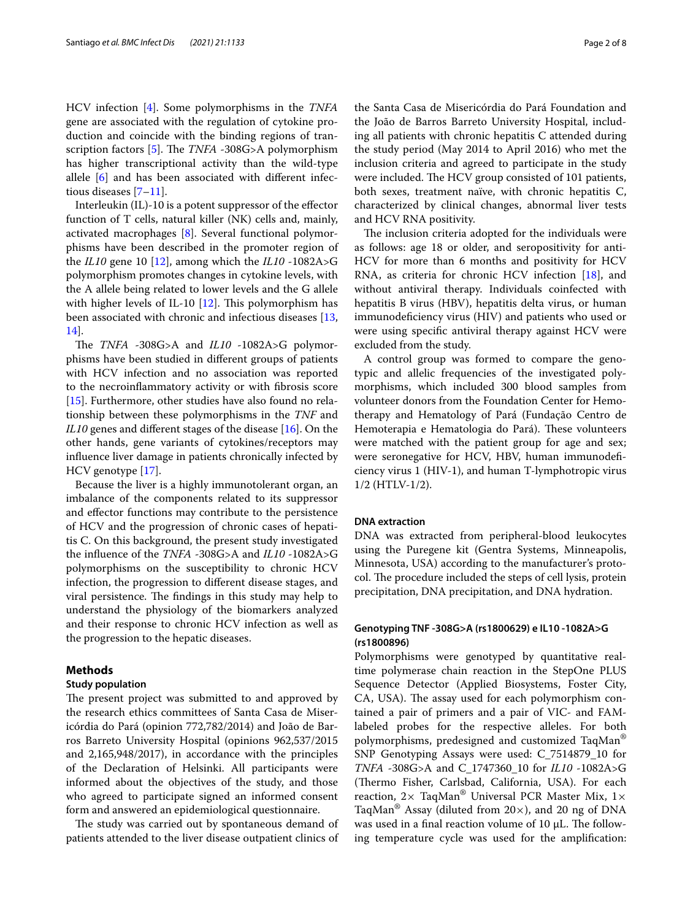HCV infection [\[4](#page-7-1)]. Some polymorphisms in the *TNFA* gene are associated with the regulation of cytokine production and coincide with the binding regions of tran-scription factors [[5\]](#page-7-2). The *TNFA* -308G>A polymorphism has higher transcriptional activity than the wild-type allele [\[6](#page-7-3)] and has been associated with diferent infectious diseases [[7–](#page-7-4)[11](#page-7-5)].

Interleukin (IL)-10 is a potent suppressor of the effector function of T cells, natural killer (NK) cells and, mainly, activated macrophages [[8\]](#page-7-6). Several functional polymorphisms have been described in the promoter region of the *IL10* gene 10 [[12\]](#page-7-7), among which the *IL10* -1082A>G polymorphism promotes changes in cytokine levels, with the A allele being related to lower levels and the G allele with higher levels of IL-10  $[12]$  $[12]$ . This polymorphism has been associated with chronic and infectious diseases [\[13](#page-7-8), [14\]](#page-7-9).

The *TNFA*  $-308G>A$  and *IL10*  $-1082A>G$  polymorphisms have been studied in diferent groups of patients with HCV infection and no association was reported to the necroinfammatory activity or with fbrosis score [[15\]](#page-7-10). Furthermore, other studies have also found no relationship between these polymorphisms in the *TNF* and *IL10* genes and different stages of the disease [[16](#page-7-11)]. On the other hands, gene variants of cytokines/receptors may infuence liver damage in patients chronically infected by HCV genotype [[17](#page-7-12)].

Because the liver is a highly immunotolerant organ, an imbalance of the components related to its suppressor and efector functions may contribute to the persistence of HCV and the progression of chronic cases of hepatitis C. On this background, the present study investigated the infuence of the *TNFA* -308G>A and *IL10* -1082A>G polymorphisms on the susceptibility to chronic HCV infection, the progression to diferent disease stages, and viral persistence. The findings in this study may help to understand the physiology of the biomarkers analyzed and their response to chronic HCV infection as well as the progression to the hepatic diseases.

#### **Methods**

#### **Study population**

The present project was submitted to and approved by the research ethics committees of Santa Casa de Misericórdia do Pará (opinion 772,782/2014) and João de Barros Barreto University Hospital (opinions 962,537/2015 and 2,165,948/2017), in accordance with the principles of the Declaration of Helsinki. All participants were informed about the objectives of the study, and those who agreed to participate signed an informed consent form and answered an epidemiological questionnaire.

The study was carried out by spontaneous demand of patients attended to the liver disease outpatient clinics of

the Santa Casa de Misericórdia do Pará Foundation and the João de Barros Barreto University Hospital, including all patients with chronic hepatitis C attended during the study period (May 2014 to April 2016) who met the inclusion criteria and agreed to participate in the study were included. The HCV group consisted of 101 patients, both sexes, treatment naïve, with chronic hepatitis C, characterized by clinical changes, abnormal liver tests and HCV RNA positivity.

The inclusion criteria adopted for the individuals were as follows: age 18 or older, and seropositivity for anti-HCV for more than 6 months and positivity for HCV RNA, as criteria for chronic HCV infection [\[18](#page-7-13)], and without antiviral therapy. Individuals coinfected with hepatitis B virus (HBV), hepatitis delta virus, or human immunodefciency virus (HIV) and patients who used or were using specifc antiviral therapy against HCV were excluded from the study.

A control group was formed to compare the genotypic and allelic frequencies of the investigated polymorphisms, which included 300 blood samples from volunteer donors from the Foundation Center for Hemotherapy and Hematology of Pará (Fundação Centro de Hemoterapia e Hematologia do Pará). These volunteers were matched with the patient group for age and sex; were seronegative for HCV, HBV, human immunodefciency virus 1 (HIV-1), and human T-lymphotropic virus 1/2 (HTLV-1/2).

#### **DNA extraction**

DNA was extracted from peripheral-blood leukocytes using the Puregene kit (Gentra Systems, Minneapolis, Minnesota, USA) according to the manufacturer's protocol. The procedure included the steps of cell lysis, protein precipitation, DNA precipitation, and DNA hydration.

### **Genotyping TNF ‑308G>A (rs1800629) e IL10 ‑1082A>G (rs1800896)**

Polymorphisms were genotyped by quantitative realtime polymerase chain reaction in the StepOne PLUS Sequence Detector (Applied Biosystems, Foster City, CA, USA). The assay used for each polymorphism contained a pair of primers and a pair of VIC- and FAMlabeled probes for the respective alleles. For both polymorphisms, predesigned and customized TaqMan® SNP Genotyping Assays were used: C\_7514879\_10 for *TNFA* -308G>A and C\_1747360\_10 for *IL10* -1082A>G (Thermo Fisher, Carlsbad, California, USA). For each reaction,  $2 \times$  TaqMan<sup>®</sup> Universal PCR Master Mix,  $1 \times$ TaqMan<sup>®</sup> Assay (diluted from  $20\times$ ), and 20 ng of DNA was used in a final reaction volume of  $10 \mu L$ . The following temperature cycle was used for the amplifcation: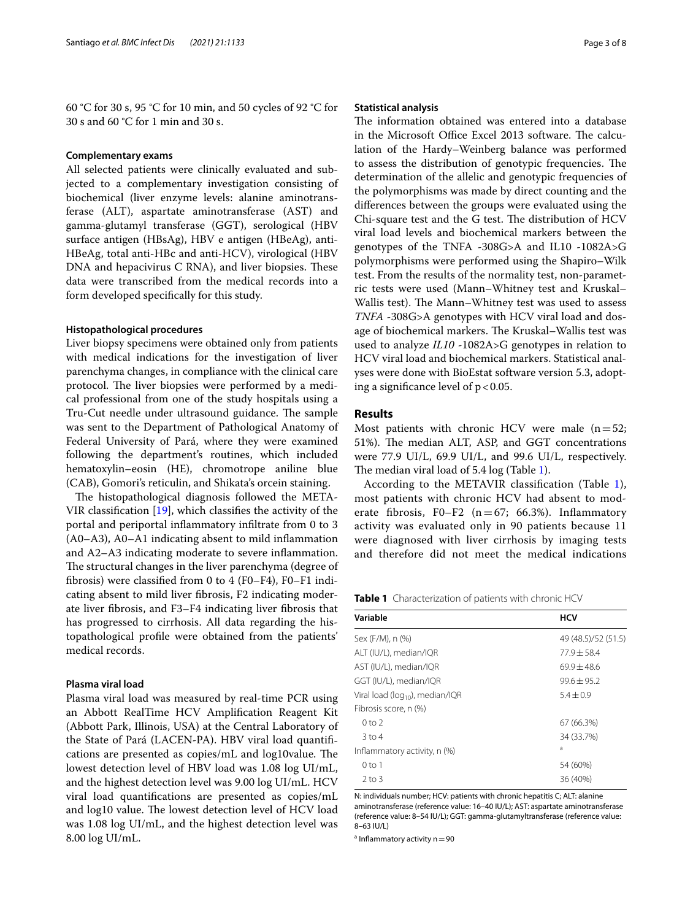60 °C for 30 s, 95 °C for 10 min, and 50 cycles of 92 °C for 30 s and 60 °C for 1 min and 30 s.

#### **Complementary exams**

All selected patients were clinically evaluated and subjected to a complementary investigation consisting of biochemical (liver enzyme levels: alanine aminotransferase (ALT), aspartate aminotransferase (AST) and gamma-glutamyl transferase (GGT), serological (HBV surface antigen (HBsAg), HBV e antigen (HBeAg), anti-HBeAg, total anti-HBc and anti-HCV), virological (HBV DNA and hepacivirus C RNA), and liver biopsies. These data were transcribed from the medical records into a form developed specifcally for this study.

#### **Histopathological procedures**

Liver biopsy specimens were obtained only from patients with medical indications for the investigation of liver parenchyma changes, in compliance with the clinical care protocol. The liver biopsies were performed by a medical professional from one of the study hospitals using a Tru-Cut needle under ultrasound guidance. The sample was sent to the Department of Pathological Anatomy of Federal University of Pará, where they were examined following the department's routines, which included hematoxylin–eosin (HE), chromotrope aniline blue (CAB), Gomori's reticulin, and Shikata's orcein staining.

The histopathological diagnosis followed the META-VIR classifcation [\[19](#page-7-14)], which classifes the activity of the portal and periportal infammatory infltrate from 0 to 3 (A0–A3), A0–A1 indicating absent to mild infammation and A2–A3 indicating moderate to severe infammation. The structural changes in the liver parenchyma (degree of fbrosis) were classifed from 0 to 4 (F0–F4), F0–F1 indicating absent to mild liver fbrosis, F2 indicating moderate liver fbrosis, and F3–F4 indicating liver fbrosis that has progressed to cirrhosis. All data regarding the histopathological profle were obtained from the patients' medical records.

#### **Plasma viral load**

Plasma viral load was measured by real-time PCR using an Abbott RealTime HCV Amplifcation Reagent Kit (Abbott Park, Illinois, USA) at the Central Laboratory of the State of Pará (LACEN-PA). HBV viral load quantifcations are presented as copies/mL and log10value. The lowest detection level of HBV load was 1.08 log UI/mL, and the highest detection level was 9.00 log UI/mL. HCV viral load quantifcations are presented as copies/mL and log10 value. The lowest detection level of HCV load was 1.08 log UI/mL, and the highest detection level was 8.00 log UI/mL.

#### **Statistical analysis**

The information obtained was entered into a database in the Microsoft Office Excel 2013 software. The calculation of the Hardy–Weinberg balance was performed to assess the distribution of genotypic frequencies. The determination of the allelic and genotypic frequencies of the polymorphisms was made by direct counting and the diferences between the groups were evaluated using the Chi-square test and the G test. The distribution of HCV viral load levels and biochemical markers between the genotypes of the TNFA -308G>A and IL10 -1082A>G polymorphisms were performed using the Shapiro–Wilk test. From the results of the normality test, non-parametric tests were used (Mann–Whitney test and Kruskal– Wallis test). The Mann–Whitney test was used to assess *TNFA* -308G>A genotypes with HCV viral load and dosage of biochemical markers. The Kruskal–Wallis test was used to analyze *IL10* -1082A>G genotypes in relation to HCV viral load and biochemical markers. Statistical analyses were done with BioEstat software version 5.3, adopting a significance level of  $p < 0.05$ .

#### **Results**

Most patients with chronic HCV were male  $(n=52;$ 51%). The median ALT, ASP, and GGT concentrations were 77.9 UI/L, 69.9 UI/L, and 99.6 UI/L, respectively. The median viral load of  $5.4 \log$  (Table [1\)](#page-2-0).

According to the METAVIR classifcation (Table [1](#page-2-0)), most patients with chronic HCV had absent to moderate fibrosis, F0-F2 ( $n=67$ ; 66.3%). Inflammatory activity was evaluated only in 90 patients because 11 were diagnosed with liver cirrhosis by imaging tests and therefore did not meet the medical indications

<span id="page-2-0"></span>**Table 1** Characterization of patients with chronic HCV

| Variable                                    | <b>HCV</b>          |  |  |
|---------------------------------------------|---------------------|--|--|
| Sex (F/M), n (%)                            | 49 (48.5)/52 (51.5) |  |  |
| ALT (IU/L), median/IQR                      | $77.9 + 58.4$       |  |  |
| AST (IU/L), median/IQR                      | $69.9 + 48.6$       |  |  |
| GGT (IU/L), median/IQR                      | $99.6 + 95.2$       |  |  |
| Viral load (log <sub>10</sub> ), median/IQR | $5.4 + 0.9$         |  |  |
| Fibrosis score, n (%)                       |                     |  |  |
| 0 <sub>to</sub>                             | 67 (66.3%)          |  |  |
| $3$ to 4                                    | 34 (33.7%)          |  |  |
| Inflammatory activity, n (%)                | a                   |  |  |
| $0$ to 1                                    | 54 (60%)            |  |  |
| $2$ to $3$                                  | 36 (40%)            |  |  |

N: individuals number; HCV: patients with chronic hepatitis C; ALT: alanine aminotransferase (reference value: 16–40 IU/L); AST: aspartate aminotransferase (reference value: 8–54 IU/L); GGT: gamma-glutamyltransferase (reference value: 8–63 IU/L)

 $a$  Inflammatory activity  $n = 90$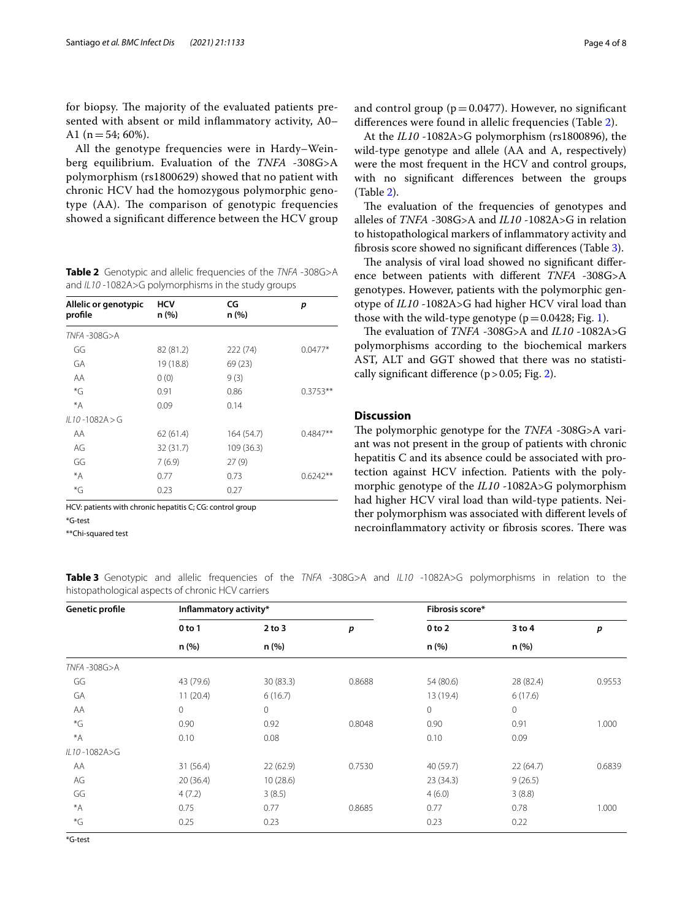for biopsy. The majority of the evaluated patients presented with absent or mild infammatory activity, A0– A1 ( $n=54$ ; 60%).

All the genotype frequencies were in Hardy–Weinberg equilibrium. Evaluation of the *TNFA* -308G>A polymorphism (rs1800629) showed that no patient with chronic HCV had the homozygous polymorphic genotype (AA). The comparison of genotypic frequencies showed a signifcant diference between the HCV group

<span id="page-3-0"></span>**Table 2** Genotypic and allelic frequencies of the *TNFA* -308G>A and *IL10* -1082A>G polymorphisms in the study groups

| Allelic or genotypic<br>profile | <b>HCV</b><br>n(%) | CG<br>n(%) | p          |
|---------------------------------|--------------------|------------|------------|
| TNFA-308G>A                     |                    |            |            |
| GG                              | 82 (81.2)          | 222 (74)   | $0.0477*$  |
| GA                              | 19 (18.8)          | 69(23)     |            |
| AA                              | 0(0)               | 9(3)       |            |
| *G                              | 0.91               | 0.86       | $0.3753**$ |
| $*_{A}$                         | 0.09               | 0.14       |            |
| $1110 - 1082A > G$              |                    |            |            |
| AA                              | 62(61.4)           | 164 (54.7) | $0.4847**$ |
| AG                              | 32 (31.7)          | 109 (36.3) |            |
| GG                              | 7(6.9)             | 27(9)      |            |
| *A                              | 0.77               | 0.73       | $0.6242**$ |
| $\overline{G}$                  | 0.23               | 0.27       |            |

HCV: patients with chronic hepatitis C; CG: control group \*G-test

\*\*Chi-squared test

At the *IL10* -1082A>G polymorphism (rs1800896), the wild-type genotype and allele (AA and A, respectively) were the most frequent in the HCV and control groups, with no signifcant diferences between the groups (Table [2\)](#page-3-0).

The evaluation of the frequencies of genotypes and alleles of *TNFA* -308G>A and *IL10* -1082A>G in relation to histopathological markers of infammatory activity and fbrosis score showed no signifcant diferences (Table [3\)](#page-3-1).

The analysis of viral load showed no significant difference between patients with diferent *TNFA* -308G>A genotypes. However, patients with the polymorphic genotype of *IL10* -1082A>G had higher HCV viral load than those with the wild-type genotype  $(p=0.0428; Fig. 1)$  $(p=0.0428; Fig. 1)$  $(p=0.0428; Fig. 1)$ .

The evaluation of *TNFA* -308G>A and *IL10* -1082A>G polymorphisms according to the biochemical markers AST, ALT and GGT showed that there was no statistically signifcant diference (p>0.05; Fig. [2\)](#page-5-0).

#### **Discussion**

The polymorphic genotype for the *TNFA* -308G>A variant was not present in the group of patients with chronic hepatitis C and its absence could be associated with protection against HCV infection. Patients with the polymorphic genotype of the *IL10* -1082A>G polymorphism had higher HCV viral load than wild-type patients. Neither polymorphism was associated with diferent levels of necroinflammatory activity or fibrosis scores. There was

<span id="page-3-1"></span>**Table 3** Genotypic and allelic frequencies of the *TNFA* -308G>A and *IL10* -1082A>G polymorphisms in relation to the histopathological aspects of chronic HCV carriers

| Genetic profile         | Inflammatory activity* |                     |        | Fibrosis score*     |                 |        |
|-------------------------|------------------------|---------------------|--------|---------------------|-----------------|--------|
|                         | 0 to 1<br>n (%)        | $2$ to $3$<br>n (%) | p      | $0$ to $2$<br>n (%) | 3 to 4<br>n (%) | р      |
|                         |                        |                     |        |                     |                 |        |
| GG                      | 43 (79.6)              | 30(83.3)            | 0.8688 | 54 (80.6)           | 28 (82.4)       | 0.9553 |
| GA                      | 11(20.4)               | 6(16.7)             |        | 13 (19.4)           | 6(17.6)         |        |
| AA                      | $\mathbf 0$            | $\mathbf 0$         |        | $\mathbf 0$         | $\mathbf{0}$    |        |
| $\,^\ast \! \mathsf{G}$ | 0.90                   | 0.92                | 0.8048 | 0.90                | 0.91            | 1.000  |
| $*_{A}$                 | 0.10                   | 0.08                |        | 0.10                | 0.09            |        |
| IL10-1082A>G            |                        |                     |        |                     |                 |        |
| AA                      | 31(56.4)               | 22(62.9)            | 0.7530 | 40 (59.7)           | 22(64.7)        | 0.6839 |
| AG                      | 20(36.4)               | 10(28.6)            |        | 23 (34.3)           | 9(26.5)         |        |
| GG                      | 4(7.2)                 | 3(8.5)              |        | 4(6.0)              | 3(8.8)          |        |
| $*_{A}$                 | 0.75                   | 0.77                | 0.8685 | 0.77                | 0.78            | 1.000  |
| $\,^\ast \mathsf{G}$    | 0.25                   | 0.23                |        | 0.23                | 0.22            |        |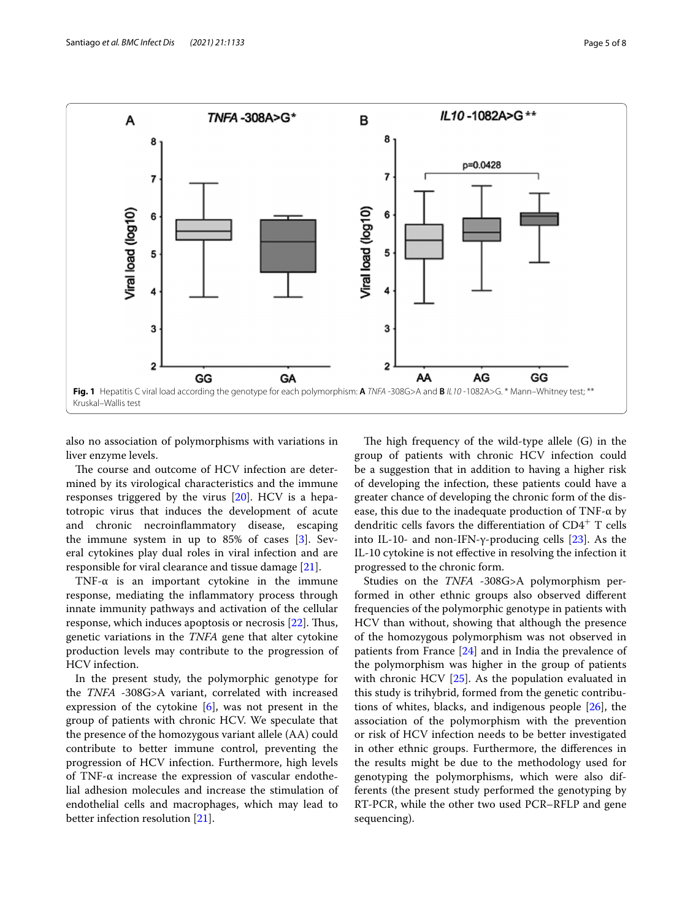

<span id="page-4-0"></span>also no association of polymorphisms with variations in liver enzyme levels.

The course and outcome of HCV infection are determined by its virological characteristics and the immune responses triggered by the virus [\[20\]](#page-7-15). HCV is a hepatotropic virus that induces the development of acute and chronic necroinfammatory disease, escaping the immune system in up to 85% of cases [[3\]](#page-7-0). Several cytokines play dual roles in viral infection and are responsible for viral clearance and tissue damage [\[21\]](#page-7-16).

TNF- $\alpha$  is an important cytokine in the immune response, mediating the infammatory process through innate immunity pathways and activation of the cellular response, which induces apoptosis or necrosis [\[22](#page-7-17)]. Thus, genetic variations in the *TNFA* gene that alter cytokine production levels may contribute to the progression of HCV infection.

In the present study, the polymorphic genotype for the *TNFA* -308G>A variant, correlated with increased expression of the cytokine  $[6]$  $[6]$ , was not present in the group of patients with chronic HCV. We speculate that the presence of the homozygous variant allele (AA) could contribute to better immune control, preventing the progression of HCV infection. Furthermore, high levels of TNF-α increase the expression of vascular endothelial adhesion molecules and increase the stimulation of endothelial cells and macrophages, which may lead to better infection resolution [\[21](#page-7-16)].

The high frequency of the wild-type allele  $(G)$  in the group of patients with chronic HCV infection could be a suggestion that in addition to having a higher risk of developing the infection, these patients could have a greater chance of developing the chronic form of the disease, this due to the inadequate production of  $TNF-\alpha$  by dendritic cells favors the differentiation of  $CD4^+$  T cells into IL-10- and non-IFN-γ-producing cells  $[23]$  $[23]$ . As the IL-10 cytokine is not efective in resolving the infection it progressed to the chronic form.

Studies on the *TNFA* -308G>A polymorphism performed in other ethnic groups also observed diferent frequencies of the polymorphic genotype in patients with HCV than without, showing that although the presence of the homozygous polymorphism was not observed in patients from France [\[24](#page-7-19)] and in India the prevalence of the polymorphism was higher in the group of patients with chronic HCV [[25](#page-7-20)]. As the population evaluated in this study is trihybrid, formed from the genetic contributions of whites, blacks, and indigenous people [[26](#page-7-21)], the association of the polymorphism with the prevention or risk of HCV infection needs to be better investigated in other ethnic groups. Furthermore, the diferences in the results might be due to the methodology used for genotyping the polymorphisms, which were also differents (the present study performed the genotyping by RT-PCR, while the other two used PCR–RFLP and gene sequencing).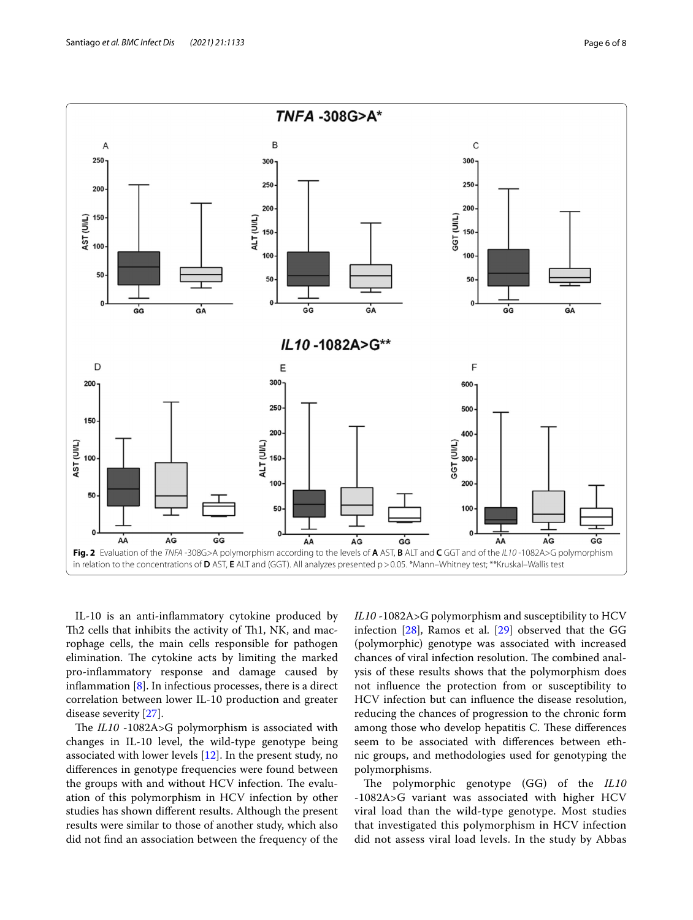

<span id="page-5-0"></span>IL-10 is an anti-infammatory cytokine produced by Th2 cells that inhibits the activity of Th1, NK, and macrophage cells, the main cells responsible for pathogen elimination. The cytokine acts by limiting the marked pro-infammatory response and damage caused by inflammation  $[8]$  $[8]$  $[8]$ . In infectious processes, there is a direct correlation between lower IL-10 production and greater disease severity [\[27](#page-7-22)].

The *IL10* -1082A>G polymorphism is associated with changes in IL-10 level, the wild-type genotype being associated with lower levels [[12\]](#page-7-7). In the present study, no diferences in genotype frequencies were found between the groups with and without HCV infection. The evaluation of this polymorphism in HCV infection by other studies has shown diferent results. Although the present results were similar to those of another study, which also did not fnd an association between the frequency of the *IL10* -1082A>G polymorphism and susceptibility to HCV infection [[28](#page-7-23)], Ramos et al. [\[29\]](#page-7-24) observed that the GG (polymorphic) genotype was associated with increased chances of viral infection resolution. The combined analysis of these results shows that the polymorphism does not infuence the protection from or susceptibility to HCV infection but can infuence the disease resolution, reducing the chances of progression to the chronic form among those who develop hepatitis C. These differences seem to be associated with diferences between ethnic groups, and methodologies used for genotyping the polymorphisms.

The polymorphic genotype (GG) of the *IL10* -1082A>G variant was associated with higher HCV viral load than the wild-type genotype. Most studies that investigated this polymorphism in HCV infection did not assess viral load levels. In the study by Abbas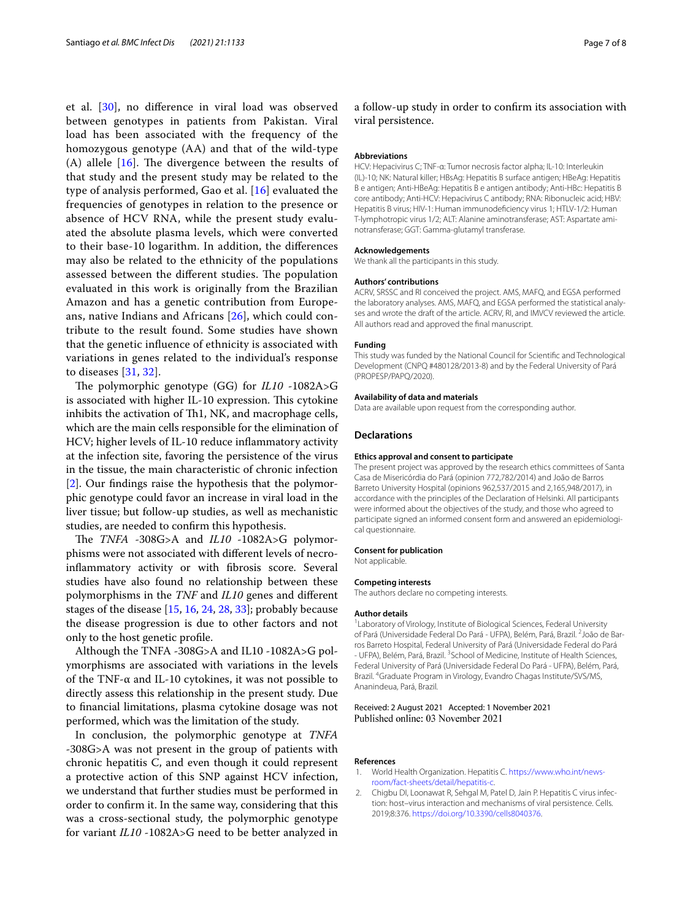et al. [[30\]](#page-7-25), no diference in viral load was observed between genotypes in patients from Pakistan. Viral load has been associated with the frequency of the homozygous genotype (AA) and that of the wild-type (A) allele  $[16]$  $[16]$ . The divergence between the results of that study and the present study may be related to the type of analysis performed, Gao et al. [[16\]](#page-7-11) evaluated the frequencies of genotypes in relation to the presence or absence of HCV RNA, while the present study evaluated the absolute plasma levels, which were converted to their base-10 logarithm. In addition, the diferences may also be related to the ethnicity of the populations assessed between the different studies. The population evaluated in this work is originally from the Brazilian Amazon and has a genetic contribution from Europeans, native Indians and Africans [[26\]](#page-7-21), which could contribute to the result found. Some studies have shown that the genetic infuence of ethnicity is associated with variations in genes related to the individual's response to diseases [[31,](#page-7-26) [32\]](#page-7-27).

The polymorphic genotype (GG) for *IL10* -1082A>G is associated with higher IL-10 expression. This cytokine inhibits the activation of Th1, NK, and macrophage cells, which are the main cells responsible for the elimination of HCV; higher levels of IL-10 reduce infammatory activity at the infection site, favoring the persistence of the virus in the tissue, the main characteristic of chronic infection [[2\]](#page-6-1). Our fndings raise the hypothesis that the polymorphic genotype could favor an increase in viral load in the liver tissue; but follow-up studies, as well as mechanistic studies, are needed to confrm this hypothesis.

The *TNFA* -308G>A and *IL10* -1082A>G polymorphisms were not associated with diferent levels of necroinfammatory activity or with fbrosis score. Several studies have also found no relationship between these polymorphisms in the *TNF* and *IL10* genes and diferent stages of the disease [\[15](#page-7-10), [16,](#page-7-11) [24](#page-7-19), [28,](#page-7-23) [33](#page-7-28)]; probably because the disease progression is due to other factors and not only to the host genetic profle.

Although the TNFA -308G>A and IL10 -1082A>G polymorphisms are associated with variations in the levels of the TNF-α and IL-10 cytokines, it was not possible to directly assess this relationship in the present study. Due to fnancial limitations, plasma cytokine dosage was not performed, which was the limitation of the study.

In conclusion, the polymorphic genotype at *TNFA* -308G>A was not present in the group of patients with chronic hepatitis C, and even though it could represent a protective action of this SNP against HCV infection, we understand that further studies must be performed in order to confrm it. In the same way, considering that this was a cross-sectional study, the polymorphic genotype for variant *IL10* -1082A>G need to be better analyzed in a follow-up study in order to confrm its association with viral persistence.

#### **Abbreviations**

HCV: Hepacivirus C; TNF-α: Tumor necrosis factor alpha; IL-10: Interleukin (IL)-10; NK: Natural killer; HBsAg: Hepatitis B surface antigen; HBeAg: Hepatitis B e antigen; Anti-HBeAg: Hepatitis B e antigen antibody; Anti-HBc: Hepatitis B core antibody; Anti-HCV: Hepacivirus C antibody; RNA: Ribonucleic acid; HBV: Hepatitis B virus; HIV-1: Human immunodefciency virus 1; HTLV-1/2: Human T-lymphotropic virus 1/2; ALT: Alanine aminotransferase; AST: Aspartate aminotransferase; GGT: Gamma-glutamyl transferase.

#### **Acknowledgements**

We thank all the participants in this study.

#### **Authors' contributions**

ACRV, SRSSC and RI conceived the project. AMS, MAFQ, and EGSA performed the laboratory analyses. AMS, MAFQ, and EGSA performed the statistical analyses and wrote the draft of the article. ACRV, RI, and IMVCV reviewed the article. All authors read and approved the fnal manuscript.

#### **Funding**

This study was funded by the National Council for Scientifc and Technological Development (CNPQ #480128/2013-8) and by the Federal University of Pará (PROPESP/PAPQ/2020).

#### **Availability of data and materials**

Data are available upon request from the corresponding author.

#### **Declarations**

#### **Ethics approval and consent to participate**

The present project was approved by the research ethics committees of Santa Casa de Misericórdia do Pará (opinion 772,782/2014) and João de Barros Barreto University Hospital (opinions 962,537/2015 and 2,165,948/2017), in accordance with the principles of the Declaration of Helsinki. All participants were informed about the objectives of the study, and those who agreed to participate signed an informed consent form and answered an epidemiological questionnaire.

#### **Consent for publication**

Not applicable.

#### **Competing interests**

The authors declare no competing interests.

#### **Author details**

<sup>1</sup> Laboratory of Virology, Institute of Biological Sciences, Federal University of Pará (Universidade Federal Do Pará - UFPA), Belém, Pará, Brazil. <sup>2</sup>João de Barros Barreto Hospital, Federal University of Pará (Universidade Federal do Pará - UFPA), Belém, Pará, Brazil. <sup>3</sup> School of Medicine, Institute of Health Sciences, Federal University of Pará (Universidade Federal Do Pará - UFPA), Belém, Pará, Brazil. 4 Graduate Program in Virology, Evandro Chagas Institute/SVS/MS, Ananindeua, Pará, Brazil.

# Received: 2 August 2021 Accepted: 1 November 2021

#### **References**

- <span id="page-6-0"></span>World Health Organization. Hepatitis C. [https://www.who.int/news](https://www.who.int/news-room/fact-sheets/detail/hepatitis-c) [room/fact-sheets/detail/hepatitis-c](https://www.who.int/news-room/fact-sheets/detail/hepatitis-c).
- <span id="page-6-1"></span>2. Chigbu DI, Loonawat R, Sehgal M, Patel D, Jain P. Hepatitis C virus infection: host–virus interaction and mechanisms of viral persistence. Cells. 2019;8:376. [https://doi.org/10.3390/cells8040376.](https://doi.org/10.3390/cells8040376)